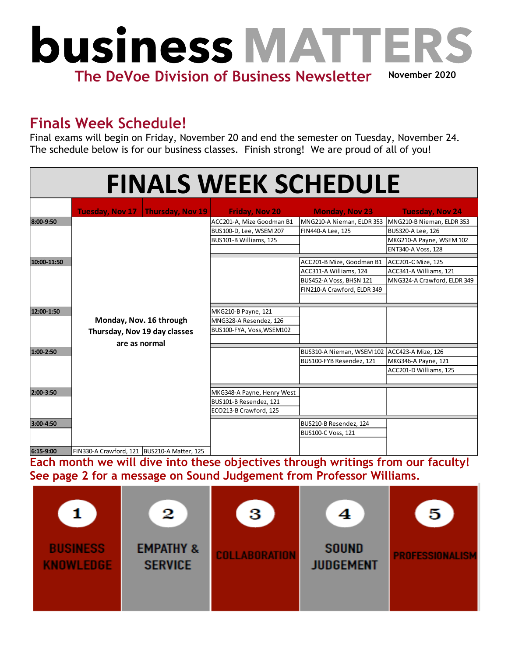

## **Finals Week Schedule!**

Final exams will begin on Friday, November 20 and end the semester on Tuesday, November 24. The schedule below is for our business classes. Finish strong! We are proud of all of you!

| <b>FINALS WEEK SCHEDULE</b> |                                             |                            |                                              |                             |  |  |  |  |
|-----------------------------|---------------------------------------------|----------------------------|----------------------------------------------|-----------------------------|--|--|--|--|
|                             | Tuesday, Nov 17   Thursday, Nov 19          | <b>Friday, Nov 20</b>      | <b>Monday, Nov 23</b>                        | <b>Tuesday, Nov 24</b>      |  |  |  |  |
| 8:00-9:50                   |                                             | ACC201-A, Mize Goodman B1  | MNG210-A Nieman, ELDR 353                    | MNG210-B Nieman, ELDR 353   |  |  |  |  |
|                             |                                             | BUS100-D, Lee, WSEM 207    | FIN440-A Lee, 125                            | BUS320-A Lee, 126           |  |  |  |  |
|                             |                                             | BUS101-B Williams, 125     |                                              | MKG210-A Payne, WSEM 102    |  |  |  |  |
|                             |                                             |                            |                                              | <b>ENT340-A Voss, 128</b>   |  |  |  |  |
| 10:00-11:50                 |                                             |                            | ACC201-B Mize, Goodman B1                    | ACC201-C Mize, 125          |  |  |  |  |
|                             |                                             |                            | ACC311-A Williams, 124                       | ACC341-A Williams, 121      |  |  |  |  |
|                             |                                             |                            | BUS452-A Voss, BHSN 121                      | MNG324-A Crawford, ELDR 349 |  |  |  |  |
|                             |                                             |                            | FIN210-A Crawford, ELDR 349                  |                             |  |  |  |  |
|                             |                                             |                            |                                              |                             |  |  |  |  |
| 12:00-1:50                  |                                             | MKG210-B Payne, 121        |                                              |                             |  |  |  |  |
|                             | Monday, Nov. 16 through                     | MNG328-A Resendez, 126     |                                              |                             |  |  |  |  |
|                             | Thursday, Nov 19 day classes                | BUS100-FYA, Voss, WSEM102  |                                              |                             |  |  |  |  |
|                             | are as normal                               |                            |                                              |                             |  |  |  |  |
| 1:00-2:50                   |                                             |                            | BUS310-A Nieman, WSEM 102 ACC423-A Mize, 126 |                             |  |  |  |  |
|                             |                                             |                            | BUS100-FYB Resendez, 121                     | MKG346-A Payne, 121         |  |  |  |  |
|                             |                                             |                            |                                              | ACC201-D Williams, 125      |  |  |  |  |
|                             |                                             |                            |                                              |                             |  |  |  |  |
| 2:00-3:50                   |                                             | MKG348-A Payne, Henry West |                                              |                             |  |  |  |  |
|                             |                                             | BUS101-B Resendez, 121     |                                              |                             |  |  |  |  |
|                             |                                             | ECO213-B Crawford, 125     |                                              |                             |  |  |  |  |
| 3:00-4:50                   |                                             |                            | BUS210-B Resendez, 124                       |                             |  |  |  |  |
|                             |                                             |                            | <b>BUS100-C Voss, 121</b>                    |                             |  |  |  |  |
|                             |                                             |                            |                                              |                             |  |  |  |  |
| 6:15-9:00                   | FIN330-A Crawford, 121 BUS210-A Matter, 125 |                            |                                              |                             |  |  |  |  |

**Each month we will dive into these objectives through writings from our faculty! See page 2 for a message on Sound Judgement from Professor Williams.**

|                                     | 2                                      | 3                    |                                  | 5                      |
|-------------------------------------|----------------------------------------|----------------------|----------------------------------|------------------------|
| <b>BUSINESS</b><br><b>KNOWLEDGE</b> | <b>EMPATHY &amp;</b><br><b>SERVICE</b> | <b>COLLABORATION</b> | <b>SOUND</b><br><b>JUDGEMENT</b> | <b>PROFESSIONALISM</b> |
|                                     |                                        |                      |                                  |                        |